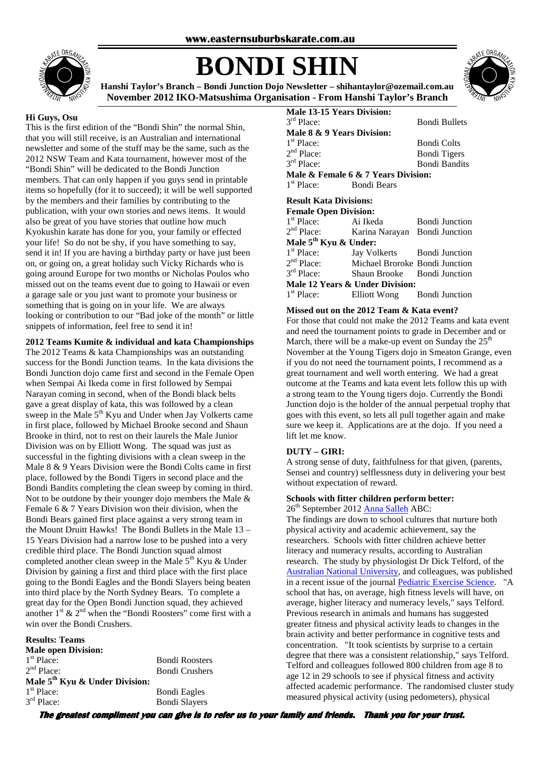

# **BONDI SHIN**



**Hanshi Taylor's Branch – Bondi Junction Dojo Newsletter – shihantaylor@ozemail.com.au November 2012 IKO-Matsushima Organisation - From Hanshi Taylor's Branch** 

#### **Hi Guys, Osu**

This is the first edition of the "Bondi Shin" the normal Shin, that you will still receive, is an Australian and international newsletter and some of the stuff may be the same, such as the 2012 NSW Team and Kata tournament, however most of the "Bondi Shin" will be dedicated to the Bondi Junction members. That can only happen if you guys send in printable items so hopefully (for it to succeed); it will be well supported by the members and their families by contributing to the publication, with your own stories and news items. It would also be great of you have stories that outline how much Kyokushin karate has done for you, your family or effected your life! So do not be shy, if you have something to say, send it in! If you are having a birthday party or have just been on, or going on, a great holiday such Vicky Richards who is going around Europe for two months or Nicholas Poulos who missed out on the teams event due to going to Hawaii or even a garage sale or you just want to promote your business or something that is going on in your life. We are always looking or contribution to our "Bad joke of the month" or little snippets of information, feel free to send it in!

**2012 Teams Kumite & individual and kata Championships** 

The 2012 Teams & kata Championships was an outstanding success for the Bondi Junction teams. In the kata divisions the Bondi Junction dojo came first and second in the Female Open when Sempai Ai Ikeda come in first followed by Sempai Narayan coming in second, when of the Bondi black belts gave a great display of kata, this was followed by a clean sweep in the Male  $5<sup>th</sup>$  Kyu and Under when Jay Volkerts came in first place, followed by Michael Brooke second and Shaun Brooke in third, not to rest on their laurels the Male Junior Division was on by Elliott Wong. The squad was just as successful in the fighting divisions with a clean sweep in the Male 8 & 9 Years Division were the Bondi Colts came in first place, followed by the Bondi Tigers in second place and the Bondi Bandits completing the clean sweep by coming in third. Not to be outdone by their younger dojo members the Male & Female 6 & 7 Years Division won their division, when the Bondi Bears gained first place against a very strong team in the Mount Druitt Hawks! The Bondi Bullets in the Male 13 – 15 Years Division had a narrow lose to be pushed into a very credible third place. The Bondi Junction squad almost completed another clean sweep in the Male 5<sup>th</sup> Kyu & Under Division by gaining a first and third place with the first place going to the Bondi Eagles and the Bondi Slayers being beaten into third place by the North Sydney Bears. To complete a great day for the Open Bondi Junction squad, they achieved another  $1^{st}$  &  $2^{nd}$  when the "Bondi Roosters" come first with a win over the Bondi Crushers.

#### **Results: Teams**

**Male open Division:**  1<sup>st</sup> Place:  $2<sup>nd</sup>$  Place: **Male 5th Kyu & Under Division:**   $1<sup>st</sup>$  Place: 3<sup>rd</sup> Place:

**Bondi Roosters** Bondi Crushers

**Bondi Eagles** Bondi Slayers **Male 13-15 Years Division:**   $3<sup>rd</sup>$  Place: Bondi Bullets **Male 8 & 9 Years Division:**   $1<sup>st</sup>$  Place: Bondi Colts  $2<sup>nd</sup>$  Place: Bondi Tigers 3rd Place: **Bondi Bandits Male & Female 6 & 7 Years Division:**   $1<sup>st</sup>$  Place: Bondi Bears

# **Result Kata Divisions:**

| <b>Female Open Division:</b>      |                                                      |                       |
|-----------------------------------|------------------------------------------------------|-----------------------|
| 1 <sup>st</sup> Place: Ai Ikeda   |                                                      | <b>Bondi Junction</b> |
|                                   | 2 <sup>nd</sup> Place: Karina Narayan Bondi Junction |                       |
| Male 5 <sup>th</sup> Kyu & Under: |                                                      |                       |
| $1st$ Place:                      | Jay Volkerts Bondi Junction                          |                       |
| $2nd$ Place:                      | Michael Broroke Bondi Junction                       |                       |
| 3 <sup>rd</sup> Place:            | Shaun Brooke Bondi Junction                          |                       |
| Male 12 Years & Under Division:   |                                                      |                       |
| $1st$ Place:                      | Elliott Wong Bondi Junction                          |                       |
|                                   |                                                      |                       |

#### **Missed out on the 2012 Team & Kata event?**

For those that could not make the 2012 Teams and kata event and need the tournament points to grade in December and or March, there will be a make-up event on Sunday the  $25<sup>th</sup>$ November at the Young Tigers dojo in Smeaton Grange, even if you do not need the tournament points, I recommend as a great tournament and well worth entering. We had a great outcome at the Teams and kata event lets follow this up with a strong team to the Young tigers dojo. Currently the Bondi Junction dojo is the holder of the annual perpetual trophy that goes with this event, so lets all pull together again and make sure we keep it. Applications are at the dojo. If you need a lift let me know.

# **DUTY – GIRI:**

A strong sense of duty, faithfulness for that given, (parents, Sensei and country) selflessness duty in delivering your best without expectation of reward.

#### **Schools with fitter children perform better:**

26<sup>th</sup> September 2012 Anna Salleh ABC:

The findings are down to school cultures that nurture both physical activity and academic achievement, say the researchers. Schools with fitter children achieve better literacy and numeracy results, according to Australian research. The study by physiologist Dr Dick Telford, of the Australian National University, and colleagues, was published in a recent issue of the journal Pediatric Exercise Science. "A school that has, on average, high fitness levels will have, on average, higher literacy and numeracy levels," says Telford. Previous research in animals and humans has suggested greater fitness and physical activity leads to changes in the brain activity and better performance in cognitive tests and concentration. "It took scientists by surprise to a certain degree that there was a consistent relationship," says Telford. Telford and colleagues followed 800 children from age 8 to age 12 in 29 schools to see if physical fitness and activity affected academic performance. The randomised cluster study measured physical activity (using pedometers), physical